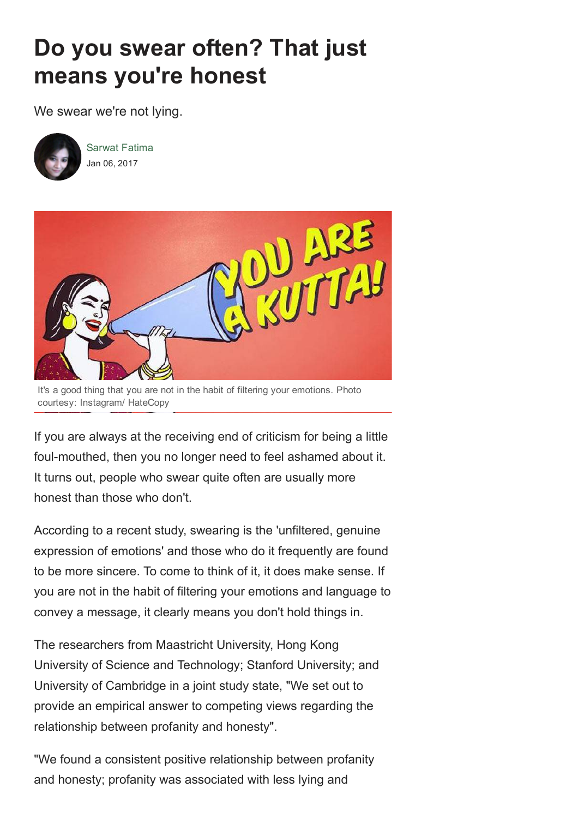## Do you swear often? That just means you're honest

We swear we're not lying.



Sarwat Fatima Jan 06, 2017



It's a good thing that you are not in the habit of filtering your emotions. Photo courtesy: Instagram/ HateCopy

If you are always at the receiving end of criticism for being a little foul-mouthed, then you no longer need to feel ashamed about it. It turns out, people who swear quite often are usually more honest than those who don't.

According to a recent study, swearing is the 'unfiltered, genuine expression of emotions' and those who do it frequently are found to be more sincere. To come to think of it, it does make sense. If you are not in the habit of filtering your emotions and language to convey a message, it clearly means you don't hold things in.

The researchers from Maastricht University, Hong Kong University of Science and Technology; Stanford University; and University of Cambridge in a joint study state, "We set out to provide an empirical answer to competing views regarding the relationship between profanity and honesty".

"We found a consistent positive relationship between profanity and honesty; profanity was associated with less lying and